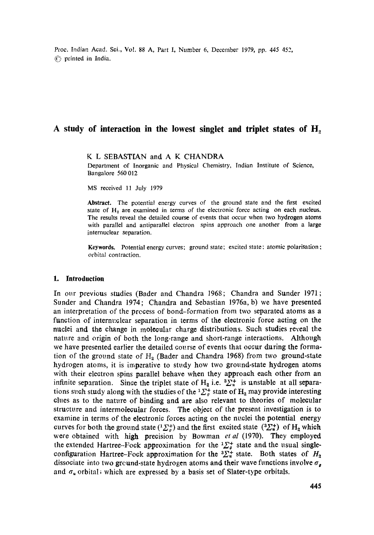Proc. badian Acad. Sci., Vot. 88 A, Part I, Number 6, December 1979, pp. 445 452, ~') printed in India.

# **A study of interaction in the lowest singlet and triplet states of H~**

K L SEBASTIAN and A K CHANDRA

Department of Inorganic and Physical Chemistry, Indian Institute of Science, Bangalore 560 012

MS received 11 July 1979

Abstract. The potential energy curves of the ground state and the first excited state of  $H<sub>2</sub>$  are examined in terms of the electronic force acting on each nucleus. The results reveal the detailed course of events that occur when two hydrogen atoms with parallel and antiparallel electron spins approach one another from a large internuclear separation.

**Keywords.** Potential energy curves; ground state; excited state: atomic **polarisation:**  orbital contraction.

## **1. Introduction**

In our previous studies (Bader and Chandra 1968; Chandra and Sunder 1971; Sunder and Chandra 1974; Chandra and Sebastian 1976a, b) we have presented an interpretation of the process of bond-formation from two separated atoms as a function of internuclear separation in terms of the electronic force acting on the naclei and the change in moleoular charge distributions. Such studies reveal the nature and origin of both the long-range and short-range interactions. Although we have presented earlier the detailed course of events that occur daring the formation of the ground state of  $H_a$  (Bader and Chandra 1968) from two ground-state hydrogen atoms, it is imperative to study how two ground-state hydrogen atoms with their electron spins parallel behave when they approach each other from an infinite separation. Since the triplet state of  $H_2$  i.e.  ${}^3\Sigma_*^+$  is unstable at all separations such study along with the studies of the  ${}^{1}\Sigma_{g}^{+}$  state of  $H_{2}$  may provide interesting clues as to the nature of binding and are also relevant to theories of molecular structure and intermolecular forces. The object of the present investigation is to examine in terms of the electronic forces acting on the nuclei the potential energy curves for both the ground state  $(1\sum_{g}^{+})$  and the first excited state  $(3\sum_{u}^{+})$  of  $H_2$  which were obtained with high precision by Bowman *etal* (1970). They employed the extended Hartree-Fock approximation for the  ${}^{1}\Sigma_{g}^{+}$  state and the usual singleconfiguration Hartree-Fock approximation for the  ${}^3\Sigma^+_u$  state. Both states of  $H_2$ dissociate into two ground-state hydrogen atoms and their wave functions involve  $\sigma_{\theta}$ and  $\sigma_u$  orbital; which are expressed by a basis set of Slater-type orbitals.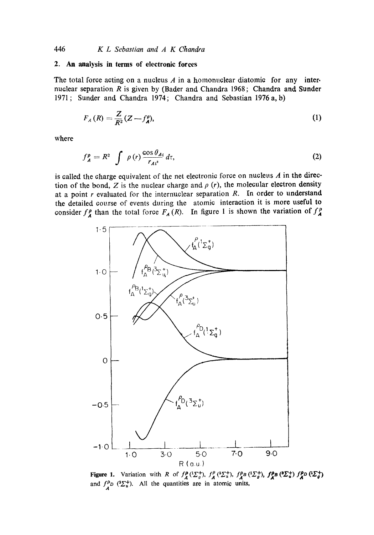## **2. An analysis in terms of electronic forces**

The total force acting on a nucleus  $A$  in a homonuclear diatomic for any internuclear separation  $R$  is given by (Bader and, Chandra 1968; Chandra and, Sunder 1971; Sunder and Chandra 1974; Chandra and Sebastian 1976a, b)

$$
F_A(R) = \frac{Z}{R^2}(Z - f_A^{\rho}),\tag{1}
$$

where

$$
f_A^{\rho} = R^2 \int \rho(r) \frac{\cos \theta_{Ai}}{r_{Ai^2}} d\tau,
$$
 (2)

is called the charge equivalent of the net electronic force on nucleus  $A$  in the direction of the bond, Z is the nuclear charge and  $\rho$  (r), the molecular electron density at a point  $r$  evaluated for the internuclear separation  $R$ . In order to understand the detailed course of events during the atomic interaction it is more useful to consider  $f_A^p$  than the total force  $F_A(R)$ . In figure 1 is shown the variation of  $f_A^p$ 



**Figure 1.** Variation with R of  $f_{\lambda}^{\rho}$  ( $\Sigma_{a}^{+}$ ) and  $f^{\rho}D$  ( $\Sigma_u^+$ ). All the quantities are in atomic units.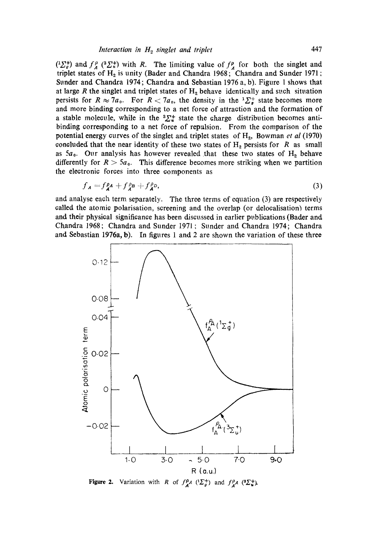$\left(\frac{1}{2}\right)$  and  $f_A^{\rho}$  ( ${}^{3}\Sigma_{u}^{+}$ ) with R. The limiting value of  $f_A^{\rho}$  for both the singlet and triplet states of  $H_2$  is unity (Bader and Chandra 1968; Chandra and Sunder 1971; Sunder and Chandra 1974; Chandra and Sebastian 1976 a, b). Figure 1 shows that at large R the singlet and triplet states of  $H<sub>2</sub>$  behave identically and such situation persists for  $R \approx 7a_0$ . For  $R < 7a_0$ , the density in the  ${}^{1}\Sigma^+_{\sigma}$  state becomes more and more binding corresponding to a net force of attraction and the formation of a stable molecule, while in the  ${}^{3}\Sigma_{u}^{+}$  state the charge distribution becomes antibinding corresponding to a net force of repalsion. From the comparison of the potential energy curves of the singlet and triplet states of H<sub>2</sub>, Bowman *et al* (1970) concluded that the near identity of these two states of  $H_2$  persists for R as small as  $5a_0$ . Our analysis has however revealed that these two states of  $H<sub>2</sub>$  behave differently for  $R > 5a_0$ . This difference becomes more striking when we partition the electronic forces into three components as

$$
f_{\mathbf{A}} = f_{\mathbf{A}}^{\rho} A + f_{\mathbf{A}}^{\rho} B + f_{\mathbf{A}}^{\rho} D,
$$
\n(3)

and analyse each term separately. The three terms of equation (3) are respectively called the atomic polarisation, screening and the overlap (or delocalisation) terms and their physical significance has been discussed in earlier publications (Bader and, Chandra 1968; Chandra and Sunder 1971; Sunder and Chandra 1974; Chandra and Sebastian 1976a, b). In figures 1 and 2 are shown the variation of these three



Figure 2. Variation with R of  $f_A^{\rho}A$   $(^1\Sigma_g^+)$  and  $f_A^{\rho}A$   $(^3\Sigma_g^+)$ .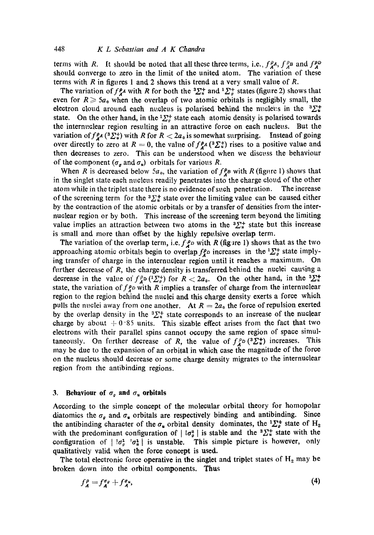terms with R. It should be noted that all these three terms, i.e.,  $f_A^{\rho}A$ ,  $f_A^{\rho}B$  and  $f_A^{\rho}D$ should converge to zero in the limit of the united atom. The variation of these terms with  $R$  in figures 1 and 2 shows this trend at a very small value of  $R$ .

The variation of  $f_A^{\rho_A}$  with R for both the  ${}^3\Sigma_*^+$  and  ${}^1\Sigma_g^+$  states (figure 2) shows that even for  $R \geq 5a_0$  when the overlap of two atomic orbitals is negligibly small, the electron cloud around each nucleus is polarised behind the nucleus in the  ${}^{3}\Sigma_{*}^{+}$ state. On the other hand, in the  ${}^{1}\Sigma_{g}^{+}$  state each atomic density is polarised towards the internuclear region resulting in an attractive force on each nucleus. But the variation of  $f_A^{\rho_A}$  (3 $\Sigma_*^+$ ) with R for  $R < 2a_0$  is somewhat surprising. Instead of going over directly to zero at  $R = 0$ , the value of  $f_A^{\rho}(3\sum_{i=1}^{n} s_i)$  rises to a positive value and then decreases to zero. This can be understood when we discuss the behaviour of the component ( $\sigma_{\theta}$  and  $\sigma_{\theta}$ ) orbitals for various R.

When R is decreased below 5a<sub>0</sub>, the variation of  $f_A^{\rho}$  with R (figure 1) shows that in the singlet state each nucleus readily penetrates into the charge cloud of the other atom while in the triplet state there is no evidence of such penetration. The increase of the screening term for the  ${}^{3}\Sigma_{u}^{+}$  state over the limiting value can be caused either by the contraction of the atomic orbitals or by a transfer of densities from the internuelear region or by both. This increase of the screening term beyond the limiting value implies an attraction between two atoms in the  ${}^{3}\Sigma^{+}_{*}$  state but this increase is small and more than offset by the highly repulsive overlap term.

The variation of the overlap term, i.e.  $f^{\rho}$  with R (figure 1) shows that as the two approaching atomic orbitals begin to overlap  $f_{\lambda}^{\rho}$  increases in the  ${}^{1}\Sigma_{g}^{+}$  state implying transfer of charge in the internuclear region until it reaches a maximum. On further decrease of  $R$ , the charge density is transferred behind the nuclei causing a decrease in the value of  $f_A^{\rho} \circ ({}^1\Sigma_g^+)$  for  $R < 2a_0$ . On the other hand, in the  ${}^3\Sigma_g^+$ state, the variation of  $f<sub>z</sub><sup>p</sup>$  with R implies a transfer of charge from the internuclear region to the region behind the nuclei and this charge density exerts a force which pulls the nuclei away from one another. At  $R = 2a_0$  the force of repulsion exerted by the overlap density in the  ${}^{3}\Sigma_{\pi}^{+}$  state corresponds to an increase of the nuclear charge by about  $+0.85$  units. This sizable effect arises from the fact that two electrons with their parallel spins cannot occupy the same region of space simultaneously. On further decrease of R, the value of  $f^{p}_{\mu}$  ( $^2\Sigma^+_n$ ) increases. This may be due to the expansion of an orbital in which case the magnitude of the force on the nucleus should decrease or some charge density migrates to the internuclear region from the antibinding regions.

## **3.** Behaviour of  $\sigma_q$  and  $\sigma_u$  orbitals

According to the simple concept of the molecular orbital theory for homopolar diatomics the  $\sigma_{\rho}$  and  $\sigma_{\mu}$  orbitals are respectively binding and antibinding. Since the antibinding character of the  $\sigma_*$  orbital density dominates, the  ${}^1\Sigma^+_g$  state of H<sub>2</sub> with the predominant configuration of  $|~\sigma_{q}^{2}|$  is stable and the  ${}^{3}\Sigma_{u}^{+}$  state with the configuration of  $| \cdot \overline{a}_{\theta}^1 | \cdot \overline{a}_{\theta}^1 |$  is unstable. This simple picture is however, only qualitatively valid when the force concept is used.

The total electronic force operative in the singlet and triplet states of  $H_2$  may be broken down into the orbital components. Thus

$$
f_A^{\rho} = f_A^{\sigma_{\theta}} + f_A^{\sigma_{\theta}}, \tag{4}
$$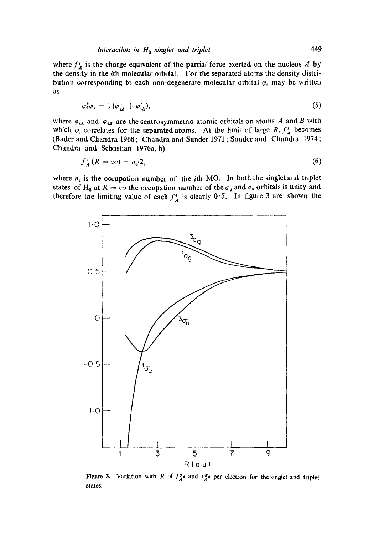where  $f_A^i$  is the charge equivalent of the partial force exerted on the nucleus A by the density in the ith molecular orbital. For the separated atoms the density distribution corresponding to each non-degenerate molecular orbital  $\varphi_i$  may be written as

$$
\varphi_{\mathbf{t}}^* \varphi_{\mathbf{t}} = \frac{1}{2} (\varphi_{\mathbf{t}}^2 + \varphi_{\mathbf{t}}^2), \tag{5}
$$

where  $\varphi_{iA}$  and  $\varphi_{iB}$  are the centrosymmetric atomic orbitals on atoms A and B with which  $\varphi_i$  correlates for the separated atoms. At the limit of large R,  $f_A^i$  becomes (Bader and Chandra 1968; Chandra and Sunder 1971 ; Sunder amt Chandra 1974; Chandra and Sebastian 1976a, b)

$$
f_A^i(R=\infty)=n_i/2,\t\t(6)
$$

where  $n_i$  is the occupation number of the *i*th MO. In both the singlet and triplet states of H<sub>2</sub> at  $R = \infty$  the occupation number of the  $\sigma_g$  and  $\sigma_g$  orbitals is unity and therefore the limiting value of each  $f^i_A$  is clearly 0.5. In figure 3 are shown the



Figure 3. Variation with R of  $f_{A}^{\sigma}$  and  $f_{A}^{\sigma}$  per electron for the singlet and triplet states.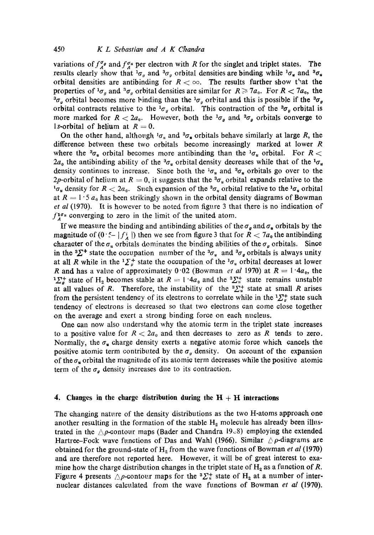variations of  $f^{\sigma_{\mu}}_{\mu}$  and  $f^{\sigma_{\mu}}_{\mu}$  per electron with R for the singlet and triplet states. The results clearly show that  ${}^1\sigma_g$  and  ${}^3\sigma_g$  orbital densities are binding while  ${}^1\sigma_g$  and  ${}^3\sigma_g$ orbital densities are antibinding for  $R < \infty$ . The results further show that the properties of  $^1\sigma_a$  and  $^3\sigma_a$  orbital densities are similar for  $R \ge 7a_0$ . For  $R < 7a_0$ , the  ${}^3\sigma_\mu$  orbital becomes more binding than the  ${}^1\sigma_\mu$  orbital and this is possible if the  ${}^3\sigma_\rho$ orbital contracts relative to the  ${}^1\sigma_g$  orbital. This contraction of the  ${}^3\sigma_g$  orbital is more marked for  $R < 2a_0$ . However, both the  ${}^1\sigma_a$  and  ${}^3\sigma_a$  orbitals converge to 1s-orbital of helium at  $R=0$ .

On the other hand, although  $1\sigma_n$ , and  $3\sigma_n$  orbitals behave similarly at large R, the difference between these two orbitals become increasingly marked at lower  $R$ where the  ${}^3\sigma_u$  orbital becomes more antibinding than the  ${}^1\sigma_u$  orbital. For R <  $2a_0$  the antibinding ability of the  $3\sigma_u$  orbital density decreases while that of the  $1\sigma_u$ density continues to increase. Since both the  $^{1} \sigma_{u}$  and  $^{3} \sigma_{u}$  orbitals go over to the 2p-orbital of helium at  $R = 0$ , it suggests that the  ${}^3\sigma_u$  orbital expands relative to the  ${}^{1}\sigma_{u}$  density for  $R < 2a_{0}$ . Such expansion of the  ${}^{3}\sigma_{u}$  orbital relative to the  ${}^{1}\sigma_{u}$  orbital at  $R = 1.5 a_0$  has been strikingly shown in the orbital density diagrams of Bowman *et at* (1970). It is however to be noted from figure 3 that there is no indication of  $f_{\lambda}^{\mathbf{1}\sigma_{\mu}}$  converging to zero in the limit of the united atom.

If we measure the binding and antibinding abilities of the  $\sigma_{\theta}$  and  $\sigma_{\theta}$  orbitals by the magnitude of  $(0 \le - |f^i_A|)$  then we see from figure 3 that for  $R < 7a_0$  the antibinding character of the  $\sigma_u$  orbitals dominates the binding abilities of the  $\sigma_g$  orbitals. Since in the  ${}^{3}\Sigma^{+}$  state the occupation number of the  ${}^{3}\sigma_{u}$  and  ${}^{3}\sigma_{g}$  orbitals is always unity at all R while in the  ${}^{1}\Sigma_{a}^{+}$  state the occupation of the  ${}^{1}\sigma_{u}$  orbital decreases at lower R and has a value of approximately  $0.02$  (Bowman *et al* 1970) at  $R = 1.4a_0$ , the  $^{1}\Sigma_{a}^{+}$  state of H<sub>2</sub> becomes stable at  $R = 1.4a_{0}$  and the  $^{3}\Sigma_{b}^{+}$  state remains unstable at all values of R. Therefore, the instability of the  ${}^{3}\Sigma^{+}_{u}$  state at small R arises from the persistent tendency of its electrons to correlate while in the  ${}^{1}\Sigma_{\sigma}^{+}$  state such tendency of electrons is decreased so that two electrons can aome close together on the average and exert a strong binding forae on each nucleus.

One can now also understand why the atomia term in the triplet state increases to a positive value for  $R < 2a_0$  and then decreases to zero as R tends to zero. Normally, the  $\sigma_{\mathbf{u}}$  charge density exerts a negative atomic force which cancels the positive atomic term contributed by the  $\sigma_q$  density. On account of the expansion of the  $\sigma_u$  orbital the magnitude of its atomic term decreases while the positive atomic term of the  $\sigma_{\alpha}$  density increases due to its contraction.

#### **4.** Changes in the charge distribution during the  $H + H$  interactions

The changing nature of the density distributions as the two H-atoms approach one another resulting in the formation of the stable  $H_2$  molecule has already been illustrated in the  $\wedge p$ -contour maps (Bader and Chandra 19 $\vee$ 8) employing the extended Hartree-Fock wave functions of Das and Wahl (1966). Similar  $\triangle \rho$ -diagrams are obtained for the ground-state of H<sub>2</sub> from the wave functions of Bowman *et al* (1970) and are therefore not reported here. However, it will be of great interest to examine how the charge distribution changes in the triplet state of  $H_2$  as a function of R. Figure 4 presents  $\triangle p$ -contour maps for the  ${}^3\Sigma^+_n$  state of H<sub>2</sub> at a number of internuclear distances calculated from the wave functions of Bowman *et al* (1970).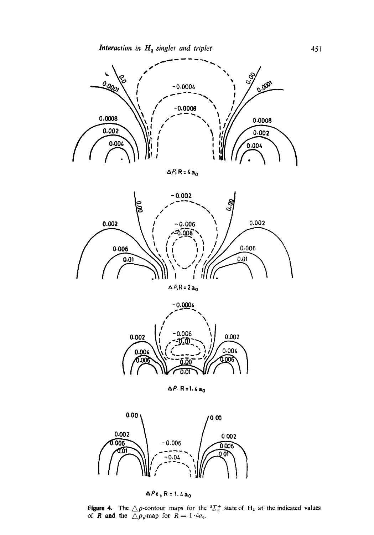

 $\Delta P$ , R = 4 $a_0$ 



 $\triangle$   $P$ ,R = 2 $a_0$ 



**&P. R=l.&ao** 



 $\Delta Pe$ , R = 1, 4 a<sub>0</sub>

**Figure 4.** The  $\triangle\rho$ -contour maps for the  ${}^{3}\Sigma_{x}^{+}$  state of H<sub>2</sub> at the indicated values of R and the  $\triangle \rho_{\rm e}$ -map for  $R = 1.4a_{\rm e}$ .